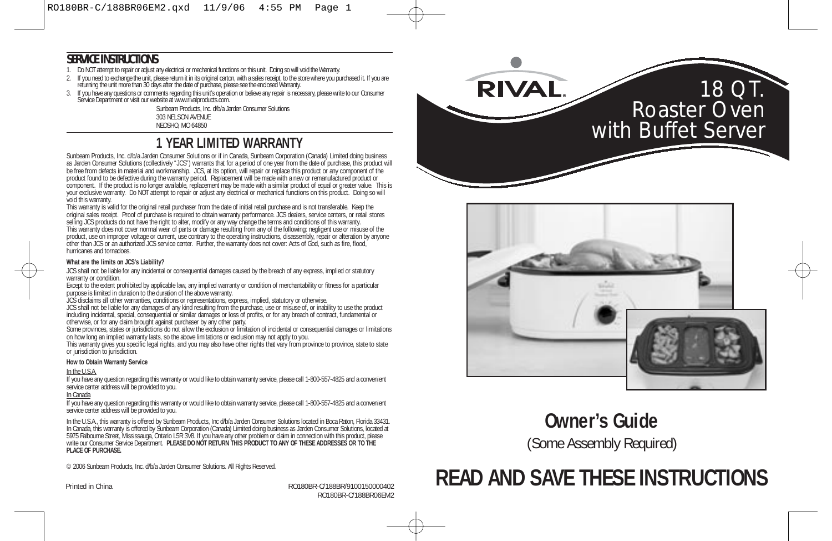#### **SERVICE INSTRUCTIONS**

- 1. Do NOT attempt to repair or adjust any electrical or mechanical functions on this unit. Doing so will void the Warranty.
- 2. If you need to exchange the unit, please return it in its original carton, with a sales receipt, to the store where you purchased it. If you are returning the unit more than 30 days after the date of purchase, please see the enclosed Warranty.
- 3. If you have any questions or comments regarding this unit's operation or believe any repair is necessary, please write to our Consumer<br>Service Department or visit our website at www.rivalproducts.com.

Sunbeam Products, Inc. d/b/a Jarden Consumer Solutions 303 NELSON AVENUE NEOSHO, MO 64850

### **1 YEAR LIMITED WARRANTY**

Sunbeam Products, Inc. d/b/a Jarden Consumer Solutions or if in Canada, Sunbeam Corporation (Canada) Limited doing business as Jarden Consumer Solutions (collectively "JCS") warrants that for a period of one year from the date of purchase, this product will be free from defects in material and workmanship. JCS, at its option, will repair or replace this product or any component of the<br>product found to be defective during the warranty period. Replacement will be made with a ne component. If the product is no longer available, replacement may be made with a similar product of equal or greater value. This is your exclusive warranty. Do NOT attempt to repair or adjust any electrical or mechanical functions on this product. Doing so will void this warranty.

This warranty is valid for the original retail purchaser from the date of initial retail purchase and is not transferable. Keep the original sales receipt. Proof of purchase is required to obtain warranty performance. JCS dealers, service centers, or retail stores<br>selling JCS products do not have the right to alter, modify or any way change the terms a product, use on improper voltage or current, use contrary to the operating instructions, disassembly, repair or alteration by anyone other than JCS or an authorized JCS service center. Further, the warranty does not cover: Acts of God, such as fire, flood, hurricanes and tornadoes.

#### **What are the limits on JCS's Liability?**

JCS shall not be liable for any incidental or consequential damages caused by the breach of any express, implied or statutory warranty or condition.

Except to the extent prohibited by applicable law, any implied warranty or condition of merchantability or fitness for a particular purpose is limited in duration to the duration of the above warranty.

JCS disclaims all other warranties, conditions or representations, express, implied, statutory or otherwise.

JCS shall not be liable for any damages of any kind resulting from the purchase, use or misuse of, or inability to use the product<br>including incidental, special, consequential or similar damages or loss of profits, or for

otherwise, or for any claim brought against purchaser by any other party. Some provinces, states or jurisdictions do not allow the exclusion or limitation of incidental or consequential damages or limitations on how long an implied warranty lasts, so the above limitations or exclusion may not apply to you.

This warranty gives you specific legal rights, and you may also have other rights that vary from province to province, state to state or jurisdiction to jurisdiction.

#### **How to Obtain Warranty Service**

#### In the U.S.A.

If you have any question regarding this warranty or would like to obtain warranty service, please call 1-800-557-4825 and a convenient service center address will be provided to you.

#### In Canada

If you have any question regarding this warranty or would like to obtain warranty service, please call 1-800-557-4825 and a convenient service center address will be provided to you.

In the U.S.A., this warranty is offered by Sunbeam Products, Inc d/b/a Jarden Consumer Solutions located in Boca Raton, Florida 33431. In Canada, this warranty is offered by Sunbeam Corporation (Canada) Limited doing business as Jarden Consumer Solutions, located at<br>5975 Falbourne Street, Mississauga, Ontario L5R 3V8. If you have any other problem or clai write our Consumer Service Department. **PLEASE DO NOT RETURN THIS PRODUCT TO ANY OF THESE ADDRESSES OR TO THE PLACE OF PURCHASE.**

© 2006 Sunbeam Products, Inc. d/b/a Jarden Consumer Solutions. All Rights Reserved.

Printed in China **Route 2018 RO180BR-C/188BR/9100150000402** RO180BR-C/188BR06EM2





### **Owner's Guide**

(Some Assembly Required)

# **READ AND SAVE THESE INSTRUCTIONS**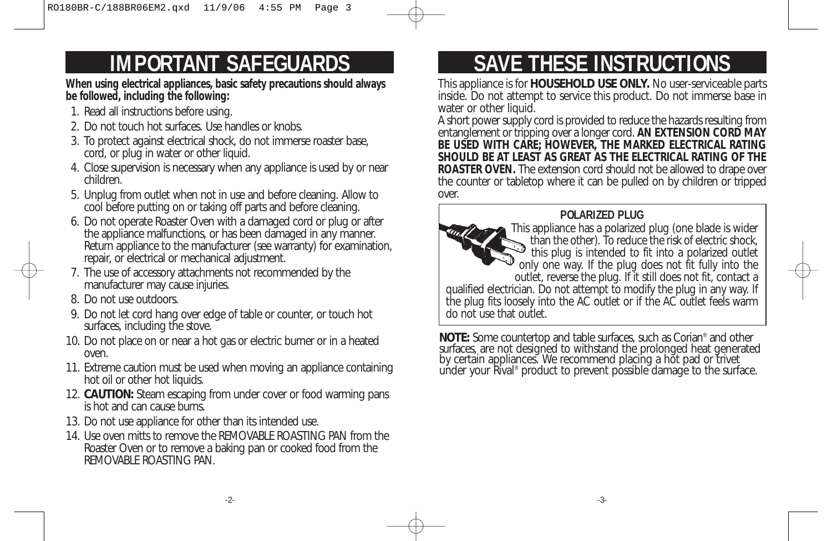# **IMPORTANT SAFEGUARDS**

**When using electrical appliances, basic safety precautions should always be followed, including the following:** 

- 1. Read all instructions before using.
- 2. Do not touch hot surfaces. Use handles or knobs.
- 3. To protect against electrical shock, do not immerse roaster base, cord, or plug in water or other liquid.
- 4. Close supervision is necessary when any appliance is used by or near children.
- 5. Unplug from outlet when not in use and before cleaning. Allow to cool before putting on or taking off parts and before cleaning.
- 6. Do not operate Roaster Oven with a damaged cord or plug or after the appliance malfunctions, or has been damaged in any manner. Return appliance to the manufacturer (see warranty) for examination, repair, or electrical or mechanical adjustment.
- 7. The use of accessory attachments not recommended by the manufacturer may cause injuries.
- 8. Do not use outdoors.
- 9. Do not let cord hang over edge of table or counter, or touch hot surfaces, including the stove.
- 10. Do not place on or near a hot gas or electric burner or in a heated oven.
- 11. Extreme caution must be used when moving an appliance containing hot oil or other hot liquids.
- 12. **CAUTION:** Steam escaping from under cover or food warming pans is hot and can cause burns.
- 13. Do not use appliance for other than its intended use.
- 14. Use oven mitts to remove the REMOVABLE ROASTING PAN from the Roaster Oven or to remove a baking pan or cooked food from the REMOVABLE ROASTING PAN.

# **SAVE THESE INSTRUCTIONS**

This appliance is for **HOUSEHOLD USE ONLY.** No user-serviceable parts inside. Do not attempt to service this product. Do not immerse base in water or other liquid.

A short power supply cord is provided to reduce the hazards resulting from entanglement or tripping over a longer cord. **AN EXTENSION CORD MAY BE USED WITH CARE; HOWEVER, THE MARKED ELECTRICAL RATING SHOULD BE AT LEAST AS GREAT AS THE ELECTRICAL RATING OF THE ROASTER OVEN.** The extension cord should not be allowed to drape over the counter or tabletop where it can be pulled on by children or tripped over.

### **POLARIZED PLUG**

This appliance has a polarized plug (one blade is wider than the other). To reduce the risk of electric shock, this plug is intended to fit into a polarized outlet only one way. If the plug does not fit fully into the outlet, reverse the plug. If it still does not fit, contact a qualified electrician. Do not attempt to modify the plug in any way. If the plug fits loosely into the AC outlet or if the AC outlet feels warm do not use that outlet.

**NOTE:** Some countertop and table surfaces, such as Corian<sup>®</sup> and other surfaces, are not designed to withstand the prolonged heat generated by certain appliances. We recommend placing a hot pad or trivet under your Rival® product to prevent possible damage to the surface.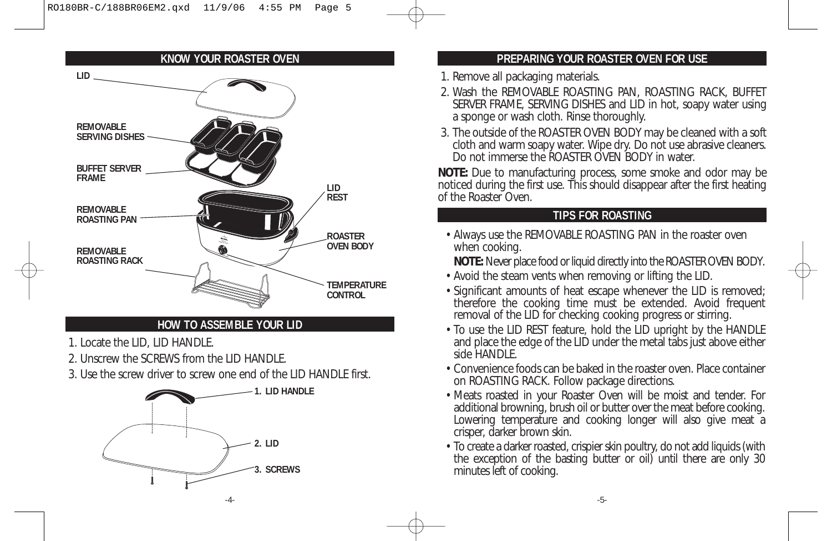#### **KNOW YOUR ROASTER OVEN**



- 1. Locate the LID, LID HANDLE.
- 2. Unscrew the SCREWS from the LID HANDLE.
- 3. Use the screw driver to screw one end of the LID HANDLE first.



#### **PREPARING YOUR ROASTER OVEN FOR USE**

- 1. Remove all packaging materials.
- 2. Wash the REMOVABLE ROASTING PAN, ROASTING RACK, BUFFET SERVER FRAME, SERVING DISHES and LID in hot, soapy water using a sponge or wash cloth. Rinse thoroughly.
- 3. The outside of the ROASTER OVEN BODY may be cleaned with a soft cloth and warm soapy water. Wipe dry. Do not use abrasive cleaners. Do not immerse the ROASTER OVEN BODY in water.

**NOTE:** Due to manufacturing process, some smoke and odor may be noticed during the first use. This should disappear after the first heating of the Roaster Oven.

#### **TIPS FOR ROASTING**

• Always use the REMOVABLE ROASTING PAN in the roaster oven when cooking.

**NOTE:** Never place food or liquid directly into the ROASTER OVEN BODY.

- Avoid the steam vents when removing or lifting the LID.
- Significant amounts of heat escape whenever the LID is removed; therefore the cooking time must be extended. Avoid frequent removal of the LID for checking cooking progress or stirring.
- To use the LID REST feature, hold the LID upright by the HANDLE and place the edge of the LID under the metal tabs just above either side HANDLE.
- Convenience foods can be baked in the roaster oven. Place container on ROASTING RACK. Follow package directions.
- Meats roasted in your Roaster Oven will be moist and tender. For additional browning, brush oil or butter over the meat before cooking. Lowering temperature and cooking longer will also give meat a crisper, darker brown skin.
- To create a darker roasted, crispier skin poultry, do not add liquids (with the exception of the basting butter or oil) until there are only 30 minutes left of cooking.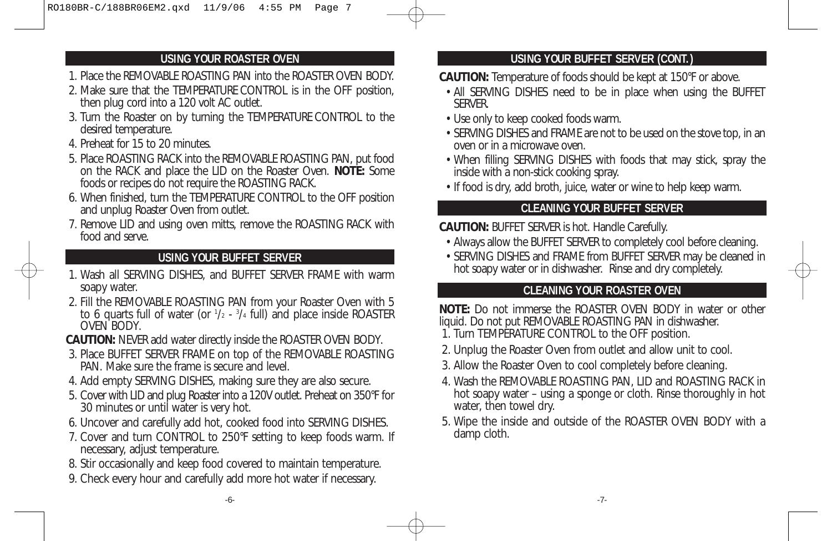- 1. Place the REMOVABLE ROASTING PAN into the ROASTER OVEN BODY.
- 2. Make sure that the TEMPERATURE CONTROL is in the OFF position, then plug cord into a 120 volt AC outlet.
- 3. Turn the Roaster on by turning the TEMPERATURE CONTROL to the desired temperature.
- 4. Preheat for 15 to 20 minutes.
- 5. Place ROASTING RACK into the REMOVABLE ROASTING PAN, put food on the RACK and place the LID on the Roaster Oven. **NOTE:** Some foods or recipes do not require the ROASTING RACK.
- 6. When finished, turn the TEMPERATURE CONTROL to the OFF position and unplug Roaster Oven from outlet.
- 7. Remove LID and using oven mitts, remove the ROASTING RACK with food and serve.

#### **USING YOUR BUFFET SERVER**

- 1. Wash all SERVING DISHES, and BUFFET SERVER FRAME with warm soapy water.
- 2. Fill the REMOVABLE ROASTING PAN from your Roaster Oven with 5 to 6 quarts full of water (or 1 /2 - 3 /4 full) and place inside ROASTER OVEN BODY.
- **CAUTION:** NEVER add water directly inside the ROASTER OVEN BODY.
- 3. Place BUFFET SERVER FRAME on top of the REMOVABLE ROASTING PAN. Make sure the frame is secure and level.
- 4. Add empty SERVING DISHES, making sure they are also secure.
- 5. Cover with LID and plug Roaster into a 120V outlet. Preheat on 350°F for 30 minutes or until water is very hot.
- 6. Uncover and carefully add hot, cooked food into SERVING DISHES.
- 7. Cover and turn CONTROL to 250°F setting to keep foods warm. If necessary, adjust temperature.
- 8. Stir occasionally and keep food covered to maintain temperature.
- 9. Check every hour and carefully add more hot water if necessary.

#### **USING YOUR ROASTER OVEN USING YOUR BUFFET SERVER (CONT.)**

**CAUTION:** Temperature of foods should be kept at 150°F or above.

- All SERVING DISHES need to be in place when using the BUFFET SERVER.
- Use only to keep cooked foods warm.
- SERVING DISHES and FRAME are not to be used on the stove top, in an oven or in a microwave oven.
- When filling SERVING DISHES with foods that may stick, spray the inside with a non-stick cooking spray.
- If food is dry, add broth, juice, water or wine to help keep warm.

### **CLEANING YOUR BUFFET SERVER**

- **CAUTION:** BUFFET SERVER is hot. Handle Carefully.
- Always allow the BUFFET SERVER to completely cool before cleaning.
- SERVING DISHES and FRAME from BUFFET SERVER may be cleaned in hot soapy water or in dishwasher. Rinse and dry completely.

#### **CLEANING YOUR ROASTER OVEN**

**NOTE:** Do not immerse the ROASTER OVEN BODY in water or other liquid. Do not put REMOVABLE ROASTING PAN in dishwasher. 1. Turn TEMPERATURE CONTROL to the OFF position.

- 
- 2. Unplug the Roaster Oven from outlet and allow unit to cool.
- 3. Allow the Roaster Oven to cool completely before cleaning.
- 4. Wash the REMOVABLE ROASTING PAN, LID and ROASTING RACK in hot soapy water – using a sponge or cloth. Rinse thoroughly in hot water, then towel dry.
- 5. Wipe the inside and outside of the ROASTER OVEN BODY with a damp cloth.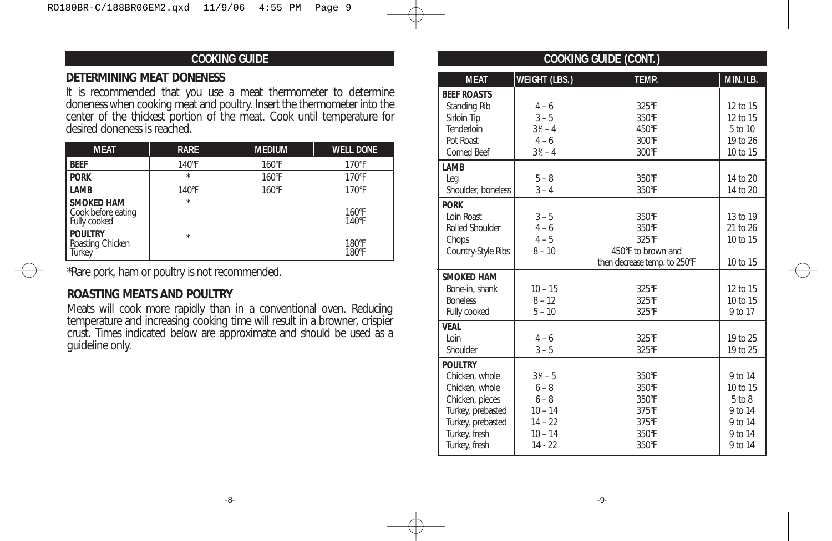### **COOKING GUIDE**

#### **DETERMINING MEAT DONENESS**

It is recommended that you use a meat thermometer to determine doneness when cooking meat and poultry. Insert the thermometer into the center of the thickest portion of the meat. Cook until temperature for desired doneness is reached.

| <b>MEAT</b>                                             | <b>RARE</b>     | <b>MEDIUM</b> | <b>WELL DONE</b>         |
|---------------------------------------------------------|-----------------|---------------|--------------------------|
| <b>BEEF</b>                                             | $140^{\circ}$ F | 160°F         | $170°$ F                 |
| <b>PORK</b>                                             | $\star$         | 160°F         | $170°$ F                 |
| LAMB                                                    | 140°F           | 160°F         | $170°$ F                 |
| <b>SMOKED HAM</b><br>Cook before eating<br>Fully cooked | $\star$         |               | $160^{\circ}$ F<br>140°F |
| <b>POULTRY</b><br>Roasting Chicken<br><b>Turkey</b>     | $\star$         |               | 180°F<br>180°F           |

\*Rare pork, ham or poultry is not recommended.

### **ROASTING MEATS AND POULTRY**

Meats will cook more rapidly than in a conventional oven. Reducing temperature and increasing cooking time will result in a browner, crispier crust. Times indicated below are approximate and should be used as a guideline only.

| <b>COOKING GUIDE (CONT.)</b>                                                                                                                      |                                                                                              |                                                                               |                                                                               |  |
|---------------------------------------------------------------------------------------------------------------------------------------------------|----------------------------------------------------------------------------------------------|-------------------------------------------------------------------------------|-------------------------------------------------------------------------------|--|
| <b>MEAT</b>                                                                                                                                       | WEIGHT (LBS.)                                                                                | TEMP.                                                                         | MIN./LB.                                                                      |  |
| <b>BEEF ROASTS</b><br>Standing Rib<br>Sirloin Tip<br>Tenderloin<br>Pot Roast<br><b>Corned Beef</b>                                                | $4 - 6$<br>$3 - 5$<br>$3\frac{1}{2} - 4$<br>$4 - 6$<br>$3\frac{1}{2} - 4$                    | 325°F<br>350°F<br>450°F<br>300°F<br>300°F                                     | 12 to 15<br>12 to 15<br>5 to 10<br>19 to 26<br>10 to 15                       |  |
| LAMB<br>Leg<br>Shoulder, boneless                                                                                                                 | $5 - 8$<br>$3 - 4$                                                                           | 350°F<br>350°F                                                                | 14 to 20<br>14 to 20                                                          |  |
| <b>PORK</b><br>Loin Roast<br>Rolled Shoulder<br>Chops<br>Country-Style Ribs                                                                       | $3 - 5$<br>$4 - 6$<br>$4 - 5$<br>$8 - 10$                                                    | 350°F<br>350°F<br>325°F<br>450°F to brown and<br>then decrease temp. to 250°F | 13 to 19<br>21 to 26<br>10 to 15<br>10 to 15                                  |  |
| <b>SMOKED HAM</b><br>Bone-in, shank<br><b>Boneless</b><br>Fully cooked                                                                            | $10 - 15$<br>$8 - 12$<br>$5 - 10$                                                            | 325°F<br>325°F<br>325°F                                                       | 12 to 15<br>10 to 15<br>9 to 17                                               |  |
| <b>VEAL</b><br>Loin<br>Shoulder                                                                                                                   | $4 - 6$<br>$3 - 5$                                                                           | 325°F<br>325°F                                                                | 19 to 25<br>19 to 25                                                          |  |
| <b>POULTRY</b><br>Chicken, whole<br>Chicken, whole<br>Chicken, pieces<br>Turkey, prebasted<br>Turkey, prebasted<br>Turkey, fresh<br>Turkey, fresh | $3\frac{1}{2} - 5$<br>$6 - 8$<br>$6 - 8$<br>$10 - 14$<br>$14 - 22$<br>$10 - 14$<br>$14 - 22$ | 350°F<br>350°F<br>350°F<br>375°F<br>375°F<br>350°F<br>350°F                   | 9 to 14<br>10 to 15<br>$5$ to $8$<br>9 to 14<br>9 to 14<br>9 to 14<br>9 to 14 |  |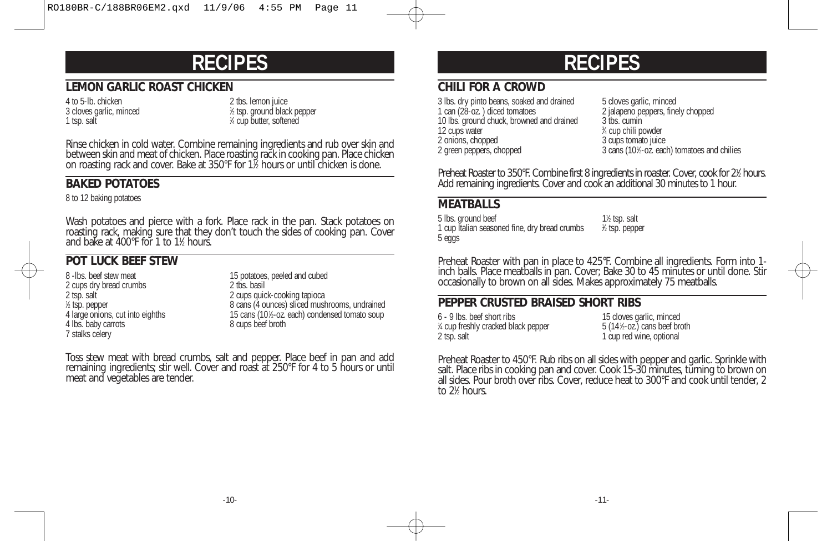## **RECIPES**

#### **LEMON GARLIC ROAST CHICKEN**

4 to 5-lb. chicken 2 tbs. lemon juice 3 cloves garlic, minced <sup>1</sup> 1 tsp. salt

⁄2 tsp. ground black pepper ⁄4 cup butter, softened

Rinse chicken in cold water. Combine remaining ingredients and rub over skin and between skin and meat of chicken. Place roasting rack in cooking pan. Place chicken on roasting rack and cover. Bake at 350°F for 11 ⁄2 hours or until chicken is done.

### **BAKED POTATOES**

8 to 12 baking potatoes

Wash potatoes and pierce with a fork. Place rack in the pan. Stack potatoes on roasting rack, making sure that they don't touch the sides of cooking pan. Cover and bake at 400°F for 1 to 11 ⁄2 hours.

### **POT LUCK BEEF STEW**

2 cups dry bread crumbs<br>2 tsp. salt  $%$  tsp. pepper 4 large onions, cut into eighths 15 cans (101/<sub>2</sub>-oz.<br>4 lbs. baby carrots 8 cups beef broth 4 lbs. baby carrots 7 stalks celery

8 -lbs. beef stew meat<br>
2 cups dry bread crumbs<br>
2 tbs. basil 2 cups quick-cooking tapioca 8 cans (4 ounces) sliced mushrooms, undrained 15 cans (101/<sub>2</sub>-oz. each) condensed tomato soup

Toss stew meat with bread crumbs, salt and pepper. Place beef in pan and add remaining ingredients; stir well. Cover and roast at 250°F for 4 to 5 hours or until meat and vegetables are tender.

# **RECIPES**

#### **CHILI FOR A CROWD**

3 lbs. dry pinto beans, soaked and drained 5 cloves garlic, minced<br>1 can (28-oz.) diced tomatoes 5 clouds 2 ialaneno peppers. fine 10 lbs. ground chuck, browned and drained 12 cups water<br>2 onions, chopped 2 green peppers, chopped

2 jalapeno peppers, finely chopped<br>3 tbs. cumin ⁄4 cup chili powder 3 cups tomato juice 3 cans (10<sup>1</sup>/<sub>2</sub>-oz. each) tomatoes and chilies

Preheat Roaster to 350°F. Combine first 8 ingredients in roaster. Cover, cook for 2½ hours. Add remaining ingredients. Cover and cook an additional 30 minutes to 1 hour.

#### **MEATBALLS**

5 lbs. ground beef  $1\frac{1}{2}$  tsp. salt 1 cup Italian seasoned fine, dry bread crumbs <sup>1</sup> 5 eggs

⁄2 tsp. pepper

Preheat Roaster with pan in place to 425°F. Combine all ingredients. Form into 1 inch balls. Place meatballs in pan. Cover; Bake 30 to 45 minutes or until done. Stir occasionally to brown on all sides. Makes approximately 75 meatballs.

#### **PEPPER CRUSTED BRAISED SHORT RIBS**

6 - 9 lbs. beef short ribs 15 cloves garlic, minced % cup freshly cracked black pepper 5 (141 2 tsp. salt 2 tsp. salt 2 tsp. salt 2 tsp. salt 2 tsp. salt 2 tsp. salt 2 tsp. salt 2 tsp. salt 2 tsp. salt 2 tsp. salt 2 tsp. salt 2 tsp. salt 2 tsp. salt 2 tsp. salt 2 tsp. salt 2 tsp. salt 2 tsp. salt 2 tsp. salt 2 tsp.

 $5(14\text{%}-oz)$  cans beef broth

Preheat Roaster to 450°F. Rub ribs on all sides with pepper and garlic. Sprinkle with salt. Place ribs in cooking pan and cover. Cook 15-30 minutes, turning to brown on all sides. Pour broth over ribs. Cover, reduce heat to 300°F and cook until tender, 2 to 21 ⁄2 hours.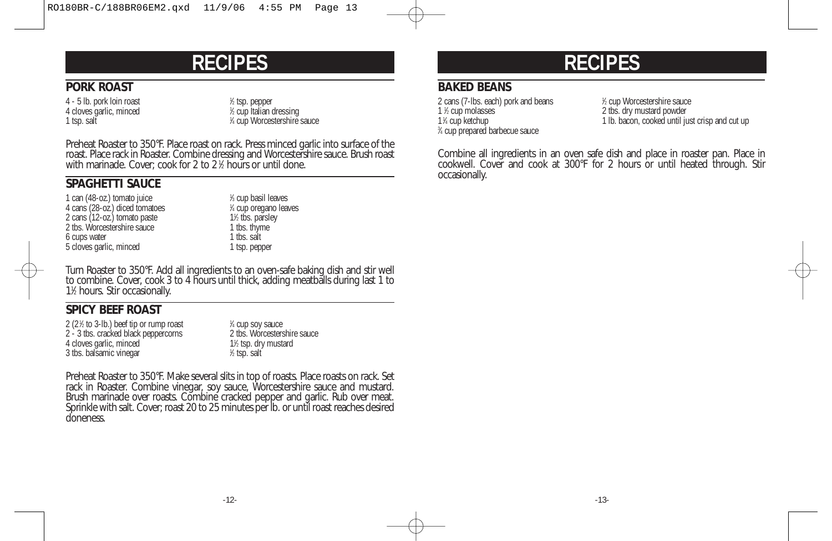### **RECIPES**

#### **PORK ROAST**

4 - 5 lb. pork loin roast <sup>1</sup> 4 cloves garlic, minced 1 tsp. salt

⁄2 tsp. pepper ⁄2 cup Italian dressing ⁄4 cup Worcestershire sauce

Preheat Roaster to 350°F. Place roast on rack. Press minced garlic into surface of the roast. Place rack in Roaster. Combine dressing and Worcestershire sauce. Brush roast with marinade. Cover; cook for 2 to 2 <sup>1</sup> ⁄2 hours or until done.

#### **SPAGHETTI SAUCE**

1 can (48-oz.) tomato juice 4 cans (28-oz.) diced tomatoes <sup>1</sup> 2 cans (12-oz.) tomato paste 11/2 this. parsle<br>
2 tbs. Worcestershire sauce 1 tbs. thyme 2 tbs. Worcestershire sauce 1 tbs. thyn<br>6 cuns water 1 tbs. salt 6 cups water 1 tbs. salt<br>
5 cloves garlic, minced 1 tsp. pepper 5 cloves garlic, minced

⁄3 cup basil leaves ⁄4 cup oregano leaves 1<sup>1</sup>⁄<sub>2</sub> tbs. parsley

Turn Roaster to 350°F. Add all ingredients to an oven-safe baking dish and stir well to combine. Cover, cook 3 to 4 hours until thick, adding meatballs during last 1 to 11 ⁄2 hours. Stir occasionally.

### **SPICY BEEF ROAST**

2 (2 $%$  to 3-lb.) beef tip or rump roast  $1$ 2 - 3 tbs. cracked black peppercorns 4 cloves garlic, minced 3 tbs. balsamic vinegar <sup>1</sup>

<sup>1/4</sup> cup soy sauce<br>2 ths Worcestershire sauce ⁄2 tsp. dry mustard ⁄2 tsp. salt

Preheat Roaster to 350°F. Make several slits in top of roasts. Place roasts on rack. Set rack in Roaster. Combine vinegar, soy sauce, Worcestershire sauce and mustard. Brush marinade over roasts. Combine cracked pepper and garlic. Rub over meat. Sprinkle with salt. Cover; roast 20 to 25 minutes per lb. or until roast reaches desired doneness.

## **RECIPES**

### **BAKED BEANS**

2 cans (7-lbs. each) pork and beans 1 1 ½ cup molasses 1<sup>1</sup>/<sub>4</sub> cup ketchup 3 ⁄4 cup prepared barbecue sauce

⁄2 cup Worcestershire sauce 2 tbs. dry mustard powder 1 lb. bacon, cooked until just crisp and cut up

Combine all ingredients in an oven safe dish and place in roaster pan. Place in cookwell. Cover and cook at 300°F for 2 hours or until heated through. Stir occasionally.